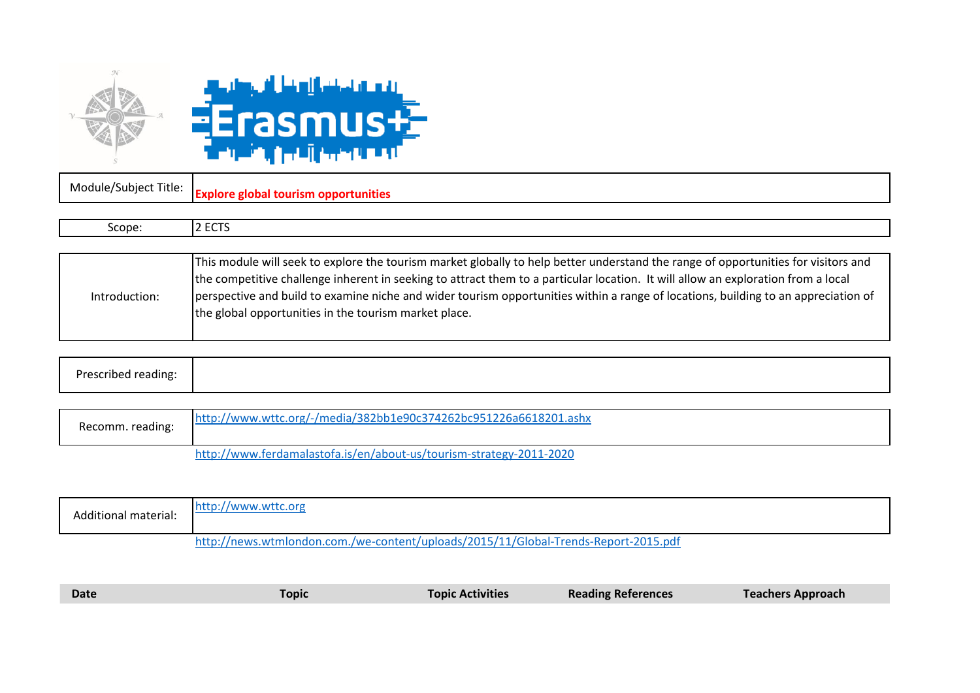



|        | Module/Subject Title: Explore global tourism opportunities |
|--------|------------------------------------------------------------|
|        |                                                            |
| Scope: | ᄔᄂᆝ                                                        |
|        |                                                            |

|               | This module will seek to explore the tourism market globally to help better understand the range of opportunities for visitors and |
|---------------|------------------------------------------------------------------------------------------------------------------------------------|
|               | the competitive challenge inherent in seeking to attract them to a particular location. It will allow an exploration from a local  |
| Introduction: | perspective and build to examine niche and wider tourism opportunities within a range of locations, building to an appreciation of |
|               | the global opportunities in the tourism market place.                                                                              |
|               |                                                                                                                                    |

| ∽<br>,,,,<br>.<br>. |  |  |  |
|---------------------|--|--|--|
|---------------------|--|--|--|

| Recomm. reading: | http://www.wttc.org/-/media/382bb1e90c374262bc951226a6618201.ashx   |
|------------------|---------------------------------------------------------------------|
|                  | http://www.ferdamalastofa.is/en/about-us/tourism-strategy-2011-2020 |

| Additional material: | http://www.wttc.org                                                                 |
|----------------------|-------------------------------------------------------------------------------------|
|                      | http://news.wtmlondon.com./we-content/uploads/2015/11/Global-Trends-Report-2015.pdf |

| <b>Date</b> | Topic | <b>Topic Activities</b> | <b>Reading References</b> | <b>Teachers Approach</b> |
|-------------|-------|-------------------------|---------------------------|--------------------------|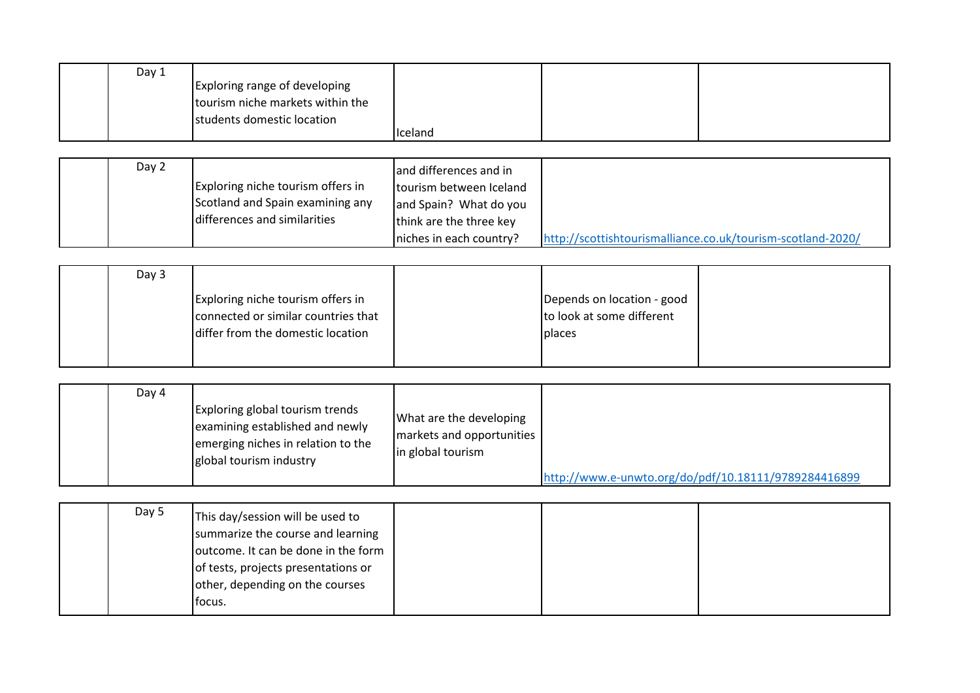| Day 1 |                                  |         |  |
|-------|----------------------------------|---------|--|
|       | Exploring range of developing    |         |  |
|       | tourism niche markets within the |         |  |
|       | students domestic location       |         |  |
|       |                                  | Iceland |  |

| Day 2 |                                   | and differences and in  |                                                             |
|-------|-----------------------------------|-------------------------|-------------------------------------------------------------|
|       | Exploring niche tourism offers in | tourism between Iceland |                                                             |
|       | Scotland and Spain examining any  | and Spain? What do you  |                                                             |
|       | differences and similarities      | think are the three key |                                                             |
|       |                                   | niches in each country? | http://scottishtourismalliance.co.uk/tourism-scotland-2020/ |

| Day 3 |                                                                                                               |                                                                          |  |
|-------|---------------------------------------------------------------------------------------------------------------|--------------------------------------------------------------------------|--|
|       | Exploring niche tourism offers in<br>connected or similar countries that<br>differ from the domestic location | Depends on location - good<br>to look at some different<br><b>places</b> |  |

|  | Day 4 | <b>Exploring global tourism trends</b><br>examining established and newly<br>emerging niches in relation to the<br>global tourism industry | What are the developing<br>markets and opportunities<br>in global tourism |                                                      |
|--|-------|--------------------------------------------------------------------------------------------------------------------------------------------|---------------------------------------------------------------------------|------------------------------------------------------|
|  |       |                                                                                                                                            |                                                                           | http://www.e-unwto.org/do/pdf/10.18111/9789284416899 |

| Day 5 | This day/session will be used to<br>summarize the course and learning<br>outcome. It can be done in the form<br>of tests, projects presentations or<br>other, depending on the courses<br>lfocus. |  |  |
|-------|---------------------------------------------------------------------------------------------------------------------------------------------------------------------------------------------------|--|--|
|       |                                                                                                                                                                                                   |  |  |